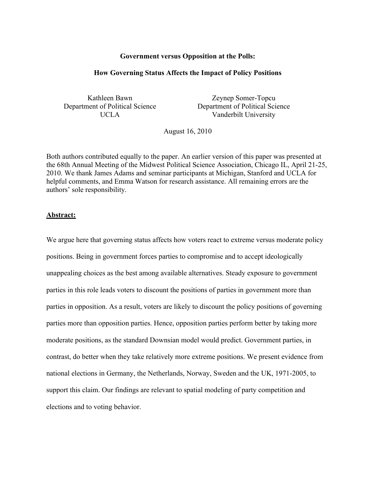#### **Government versus Opposition at the Polls:**

#### **How Governing Status Affects the Impact of Policy Positions**

Kathleen Bawn Department of Political Science UCLA

Zeynep Somer-Topcu Department of Political Science Vanderbilt University

August 16, 2010

Both authors contributed equally to the paper. An earlier version of this paper was presented at the 68th Annual Meeting of the Midwest Political Science Association, Chicago IL, April 21-25, 2010. We thank James Adams and seminar participants at Michigan, Stanford and UCLA for helpful comments, and Emma Watson for research assistance. All remaining errors are the authors' sole responsibility.

#### **Abstract:**

We argue here that governing status affects how voters react to extreme versus moderate policy positions. Being in government forces parties to compromise and to accept ideologically unappealing choices as the best among available alternatives. Steady exposure to government parties in this role leads voters to discount the positions of parties in government more than parties in opposition. As a result, voters are likely to discount the policy positions of governing parties more than opposition parties. Hence, opposition parties perform better by taking more moderate positions, as the standard Downsian model would predict. Government parties, in contrast, do better when they take relatively more extreme positions. We present evidence from national elections in Germany, the Netherlands, Norway, Sweden and the UK, 1971-2005, to support this claim. Our findings are relevant to spatial modeling of party competition and elections and to voting behavior.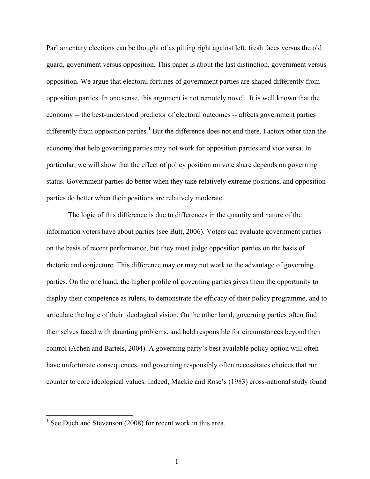Parliamentary elections can be thought of as pitting right against left, fresh faces versus the old guard, government versus opposition. This paper is about the last distinction, government versus opposition. We argue that electoral fortunes of government parties are shaped differently from opposition parties. In one sense, this argument is not remotely novel. It is well known that the economy -- the best-understood predictor of electoral outcomes -- affects government parties differently from opposition parties.<sup>1</sup> But the difference does not end there. Factors other than the economy that help governing parties may not work for opposition parties and vice versa. In particular, we will show that the effect of policy position on vote share depends on governing status. Government parties do better when they take relatively extreme positions, and opposition parties do better when their positions are relatively moderate.

The logic of this difference is due to differences in the quantity and nature of the information voters have about parties (see Butt, 2006). Voters can evaluate government parties on the basis of recent performance, but they must judge opposition parties on the basis of rhetoric and conjecture. This difference may or may not work to the advantage of governing parties. On the one hand, the higher profile of governing parties gives them the opportunity to display their competence as rulers, to demonstrate the efficacy of their policy programme, and to articulate the logic of their ideological vision. On the other hand, governing parties often find themselves faced with daunting problems, and held responsible for circumstances beyond their control (Achen and Bartels, 2004). A governing party's best available policy option will often have unfortunate consequences, and governing responsibly often necessitates choices that run counter to core ideological values. Indeed, Mackie and Rose's (1983) cross-national study found

<sup>&</sup>lt;sup>1</sup> See Duch and Stevenson (2008) for recent work in this area.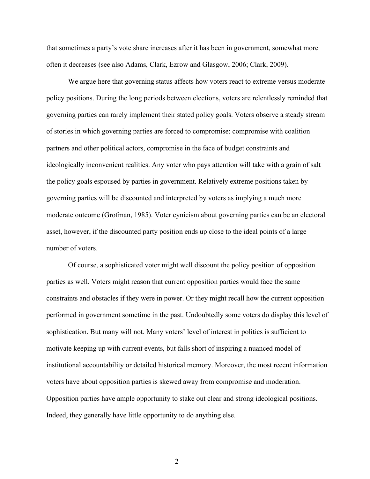that sometimes a party's vote share increases after it has been in government, somewhat more often it decreases (see also Adams, Clark, Ezrow and Glasgow, 2006; Clark, 2009).

We argue here that governing status affects how voters react to extreme versus moderate policy positions. During the long periods between elections, voters are relentlessly reminded that governing parties can rarely implement their stated policy goals. Voters observe a steady stream of stories in which governing parties are forced to compromise: compromise with coalition partners and other political actors, compromise in the face of budget constraints and ideologically inconvenient realities. Any voter who pays attention will take with a grain of salt the policy goals espoused by parties in government. Relatively extreme positions taken by governing parties will be discounted and interpreted by voters as implying a much more moderate outcome (Grofman, 1985). Voter cynicism about governing parties can be an electoral asset, however, if the discounted party position ends up close to the ideal points of a large number of voters.

Of course, a sophisticated voter might well discount the policy position of opposition parties as well. Voters might reason that current opposition parties would face the same constraints and obstacles if they were in power. Or they might recall how the current opposition performed in government sometime in the past. Undoubtedly some voters do display this level of sophistication. But many will not. Many voters' level of interest in politics is sufficient to motivate keeping up with current events, but falls short of inspiring a nuanced model of institutional accountability or detailed historical memory. Moreover, the most recent information voters have about opposition parties is skewed away from compromise and moderation. Opposition parties have ample opportunity to stake out clear and strong ideological positions. Indeed, they generally have little opportunity to do anything else.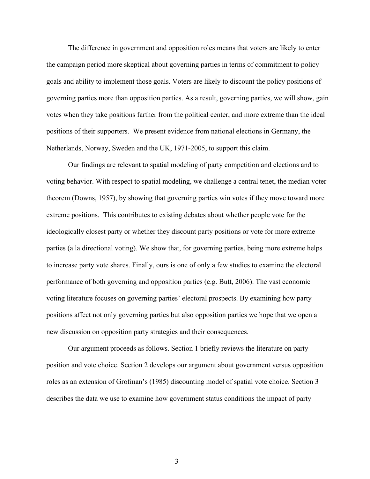The difference in government and opposition roles means that voters are likely to enter the campaign period more skeptical about governing parties in terms of commitment to policy goals and ability to implement those goals. Voters are likely to discount the policy positions of governing parties more than opposition parties. As a result, governing parties, we will show, gain votes when they take positions farther from the political center, and more extreme than the ideal positions of their supporters. We present evidence from national elections in Germany, the Netherlands, Norway, Sweden and the UK, 1971-2005, to support this claim.

Our findings are relevant to spatial modeling of party competition and elections and to voting behavior. With respect to spatial modeling, we challenge a central tenet, the median voter theorem (Downs, 1957), by showing that governing parties win votes if they move toward more extreme positions. This contributes to existing debates about whether people vote for the ideologically closest party or whether they discount party positions or vote for more extreme parties (a la directional voting). We show that, for governing parties, being more extreme helps to increase party vote shares. Finally, ours is one of only a few studies to examine the electoral performance of both governing and opposition parties (e.g. Butt, 2006). The vast economic voting literature focuses on governing parties' electoral prospects. By examining how party positions affect not only governing parties but also opposition parties we hope that we open a new discussion on opposition party strategies and their consequences.

Our argument proceeds as follows. Section 1 briefly reviews the literature on party position and vote choice. Section 2 develops our argument about government versus opposition roles as an extension of Grofman's (1985) discounting model of spatial vote choice. Section 3 describes the data we use to examine how government status conditions the impact of party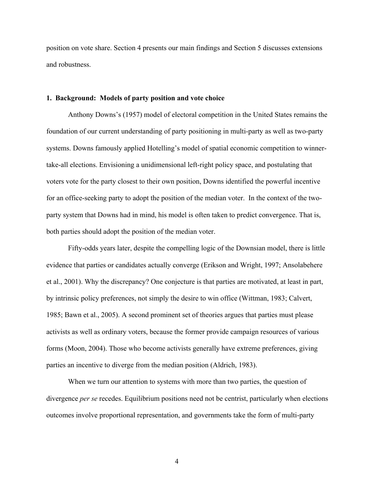position on vote share. Section 4 presents our main findings and Section 5 discusses extensions and robustness.

#### **1. Background: Models of party position and vote choice**

Anthony Downs's (1957) model of electoral competition in the United States remains the foundation of our current understanding of party positioning in multi-party as well as two-party systems. Downs famously applied Hotelling's model of spatial economic competition to winnertake-all elections. Envisioning a unidimensional left-right policy space, and postulating that voters vote for the party closest to their own position, Downs identified the powerful incentive for an office-seeking party to adopt the position of the median voter. In the context of the twoparty system that Downs had in mind, his model is often taken to predict convergence. That is, both parties should adopt the position of the median voter.

Fifty-odds years later, despite the compelling logic of the Downsian model, there is little evidence that parties or candidates actually converge (Erikson and Wright, 1997; Ansolabehere et al., 2001). Why the discrepancy? One conjecture is that parties are motivated, at least in part, by intrinsic policy preferences, not simply the desire to win office (Wittman, 1983; Calvert, 1985; Bawn et al., 2005). A second prominent set of theories argues that parties must please activists as well as ordinary voters, because the former provide campaign resources of various forms (Moon, 2004). Those who become activists generally have extreme preferences, giving parties an incentive to diverge from the median position (Aldrich, 1983).

When we turn our attention to systems with more than two parties, the question of divergence *per se* recedes. Equilibrium positions need not be centrist, particularly when elections outcomes involve proportional representation, and governments take the form of multi-party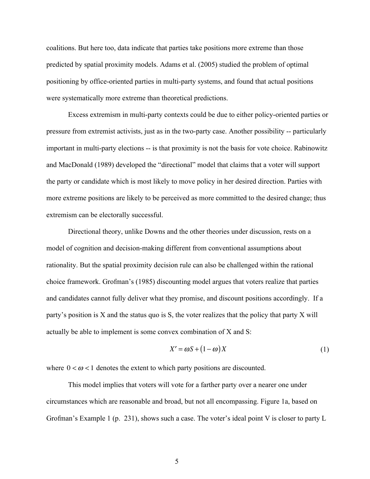coalitions. But here too, data indicate that parties take positions more extreme than those predicted by spatial proximity models. Adams et al. (2005) studied the problem of optimal positioning by office-oriented parties in multi-party systems, and found that actual positions were systematically more extreme than theoretical predictions.

Excess extremism in multi-party contexts could be due to either policy-oriented parties or pressure from extremist activists, just as in the two-party case. Another possibility -- particularly important in multi-party elections -- is that proximity is not the basis for vote choice. Rabinowitz and MacDonald (1989) developed the "directional" model that claims that a voter will support the party or candidate which is most likely to move policy in her desired direction. Parties with more extreme positions are likely to be perceived as more committed to the desired change; thus extremism can be electorally successful.

Directional theory, unlike Downs and the other theories under discussion, rests on a model of cognition and decision-making different from conventional assumptions about rationality. But the spatial proximity decision rule can also be challenged within the rational choice framework. Grofman's (1985) discounting model argues that voters realize that parties and candidates cannot fully deliver what they promise, and discount positions accordingly. If a party's position is X and the status quo is S, the voter realizes that the policy that party X will actually be able to implement is some convex combination of X and S:

$$
X' = \omega S + (1 - \omega) X \tag{1}
$$

where  $0 < \omega < 1$  denotes the extent to which party positions are discounted.

This model implies that voters will vote for a farther party over a nearer one under circumstances which are reasonable and broad, but not all encompassing. Figure 1a, based on Grofman's Example 1 (p. 231), shows such a case. The voter's ideal point V is closer to party L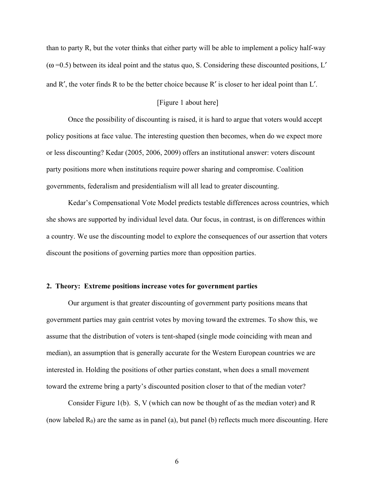than to party R, but the voter thinks that either party will be able to implement a policy half-way  $(\omega = 0.5)$  between its ideal point and the status quo, S. Considering these discounted positions, L' and R′, the voter finds R to be the better choice because R′ is closer to her ideal point than L′.

## [Figure 1 about here]

Once the possibility of discounting is raised, it is hard to argue that voters would accept policy positions at face value. The interesting question then becomes, when do we expect more or less discounting? Kedar (2005, 2006, 2009) offers an institutional answer: voters discount party positions more when institutions require power sharing and compromise. Coalition governments, federalism and presidentialism will all lead to greater discounting.

Kedar's Compensational Vote Model predicts testable differences across countries, which she shows are supported by individual level data. Our focus, in contrast, is on differences within a country. We use the discounting model to explore the consequences of our assertion that voters discount the positions of governing parties more than opposition parties.

### **2. Theory: Extreme positions increase votes for government parties**

Our argument is that greater discounting of government party positions means that government parties may gain centrist votes by moving toward the extremes. To show this, we assume that the distribution of voters is tent-shaped (single mode coinciding with mean and median), an assumption that is generally accurate for the Western European countries we are interested in. Holding the positions of other parties constant, when does a small movement toward the extreme bring a party's discounted position closer to that of the median voter?

Consider Figure 1(b). S, V (which can now be thought of as the median voter) and R (now labeled  $R_0$ ) are the same as in panel (a), but panel (b) reflects much more discounting. Here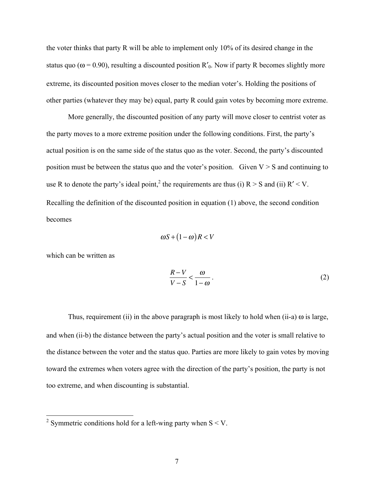the voter thinks that party R will be able to implement only 10% of its desired change in the status quo ( $\omega$  = 0.90), resulting a discounted position R'<sub>0</sub>. Now if party R becomes slightly more extreme, its discounted position moves closer to the median voter's. Holding the positions of other parties (whatever they may be) equal, party R could gain votes by becoming more extreme.

More generally, the discounted position of any party will move closer to centrist voter as the party moves to a more extreme position under the following conditions. First, the party's actual position is on the same side of the status quo as the voter. Second, the party's discounted position must be between the status quo and the voter's position. Given  $V > S$  and continuing to use R to denote the party's ideal point,<sup>2</sup> the requirements are thus (i)  $R > S$  and (ii)  $R' < V$ . Recalling the definition of the discounted position in equation (1) above, the second condition becomes

$$
\omega S + (1 - \omega) R < V
$$

which can be written as

$$
\frac{R-V}{V-S} < \frac{\omega}{1-\omega} \tag{2}
$$

Thus, requirement (ii) in the above paragraph is most likely to hold when (ii-a)  $\omega$  is large, and when (ii-b) the distance between the party's actual position and the voter is small relative to the distance between the voter and the status quo. Parties are more likely to gain votes by moving toward the extremes when voters agree with the direction of the party's position, the party is not too extreme, and when discounting is substantial.

 $\frac{1}{2}$  Symmetric conditions hold for a left-wing party when S < V.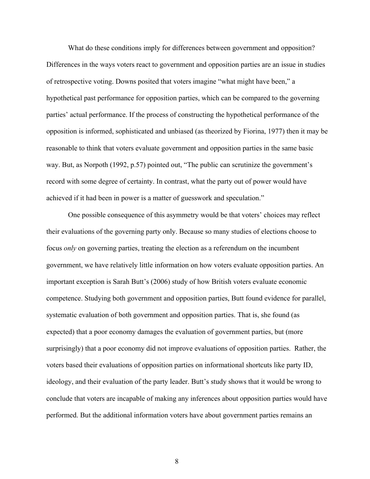What do these conditions imply for differences between government and opposition? Differences in the ways voters react to government and opposition parties are an issue in studies of retrospective voting. Downs posited that voters imagine "what might have been," a hypothetical past performance for opposition parties, which can be compared to the governing parties' actual performance. If the process of constructing the hypothetical performance of the opposition is informed, sophisticated and unbiased (as theorized by Fiorina, 1977) then it may be reasonable to think that voters evaluate government and opposition parties in the same basic way. But, as Norpoth (1992, p.57) pointed out, "The public can scrutinize the government's record with some degree of certainty. In contrast, what the party out of power would have achieved if it had been in power is a matter of guesswork and speculation."

One possible consequence of this asymmetry would be that voters' choices may reflect their evaluations of the governing party only. Because so many studies of elections choose to focus *only* on governing parties, treating the election as a referendum on the incumbent government, we have relatively little information on how voters evaluate opposition parties. An important exception is Sarah Butt's (2006) study of how British voters evaluate economic competence. Studying both government and opposition parties, Butt found evidence for parallel, systematic evaluation of both government and opposition parties. That is, she found (as expected) that a poor economy damages the evaluation of government parties, but (more surprisingly) that a poor economy did not improve evaluations of opposition parties. Rather, the voters based their evaluations of opposition parties on informational shortcuts like party ID, ideology, and their evaluation of the party leader. Butt's study shows that it would be wrong to conclude that voters are incapable of making any inferences about opposition parties would have performed. But the additional information voters have about government parties remains an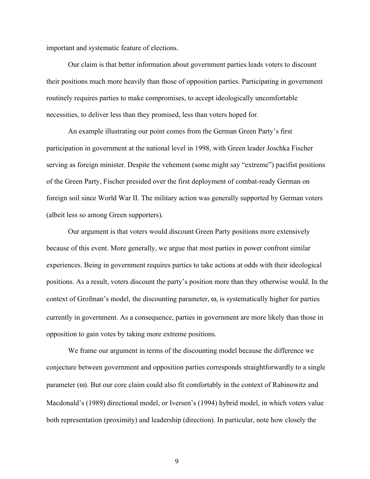important and systematic feature of elections.

Our claim is that better information about government parties leads voters to discount their positions much more heavily than those of opposition parties. Participating in government routinely requires parties to make compromises, to accept ideologically uncomfortable necessities, to deliver less than they promised, less than voters hoped for.

An example illustrating our point comes from the German Green Party's first participation in government at the national level in 1998, with Green leader Joschka Fischer serving as foreign minister. Despite the vehement (some might say "extreme") pacifist positions of the Green Party, Fischer presided over the first deployment of combat-ready German on foreign soil since World War II. The military action was generally supported by German voters (albeit less so among Green supporters).

Our argument is that voters would discount Green Party positions more extensively because of this event. More generally, we argue that most parties in power confront similar experiences. Being in government requires parties to take actions at odds with their ideological positions. As a result, voters discount the party's position more than they otherwise would. In the context of Grofman's model, the discounting parameter,  $\omega$ , is systematically higher for parties currently in government. As a consequence, parties in government are more likely than those in opposition to gain votes by taking more extreme positions.

We frame our argument in terms of the discounting model because the difference we conjecture between government and opposition parties corresponds straightforwardly to a single parameter (ω). But our core claim could also fit comfortably in the context of Rabinowitz and Macdonald's (1989) directional model, or Iversen's (1994) hybrid model, in which voters value both representation (proximity) and leadership (direction). In particular, note how closely the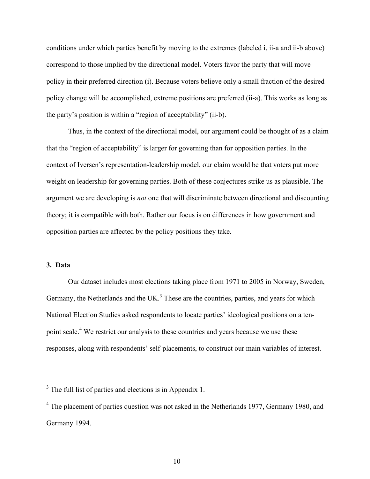conditions under which parties benefit by moving to the extremes (labeled i, ii-a and ii-b above) correspond to those implied by the directional model. Voters favor the party that will move policy in their preferred direction (i). Because voters believe only a small fraction of the desired policy change will be accomplished, extreme positions are preferred (ii-a). This works as long as the party's position is within a "region of acceptability" (ii-b).

Thus, in the context of the directional model, our argument could be thought of as a claim that the "region of acceptability" is larger for governing than for opposition parties. In the context of Iversen's representation-leadership model, our claim would be that voters put more weight on leadership for governing parties. Both of these conjectures strike us as plausible. The argument we are developing is *not* one that will discriminate between directional and discounting theory; it is compatible with both. Rather our focus is on differences in how government and opposition parties are affected by the policy positions they take.

## **3. Data**

Our dataset includes most elections taking place from 1971 to 2005 in Norway, Sweden, Germany, the Netherlands and the UK. $<sup>3</sup>$  These are the countries, parties, and years for which</sup> National Election Studies asked respondents to locate parties' ideological positions on a tenpoint scale.<sup>4</sup> We restrict our analysis to these countries and years because we use these responses, along with respondents' self-placements, to construct our main variables of interest.

 $3$  The full list of parties and elections is in Appendix 1.

<sup>&</sup>lt;sup>4</sup> The placement of parties question was not asked in the Netherlands 1977, Germany 1980, and Germany 1994.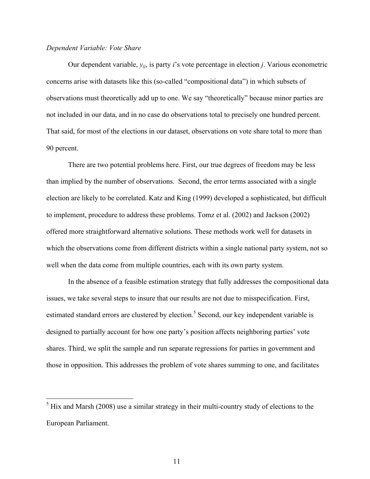## *Dependent Variable: Vote Share*

Our dependent variable, *yij*, is party *i*'s vote percentage in election *j*. Various econometric concerns arise with datasets like this (so-called "compositional data") in which subsets of observations must theoretically add up to one. We say "theoretically" because minor parties are not included in our data, and in no case do observations total to precisely one hundred percent. That said, for most of the elections in our dataset, observations on vote share total to more than 90 percent.

There are two potential problems here. First, our true degrees of freedom may be less than implied by the number of observations. Second, the error terms associated with a single election are likely to be correlated. Katz and King (1999) developed a sophisticated, but difficult to implement, procedure to address these problems. Tomz et al. (2002) and Jackson (2002) offered more straightforward alternative solutions. These methods work well for datasets in which the observations come from different districts within a single national party system, not so well when the data come from multiple countries, each with its own party system.

In the absence of a feasible estimation strategy that fully addresses the compositional data issues, we take several steps to insure that our results are not due to misspecification. First, estimated standard errors are clustered by election.<sup>5</sup> Second, our key independent variable is designed to partially account for how one party's position affects neighboring parties' vote shares. Third, we split the sample and run separate regressions for parties in government and those in opposition. This addresses the problem of vote shares summing to one, and facilitates

 $\frac{5}{100}$  Hix and Marsh (2008) use a similar strategy in their multi-country study of elections to the European Parliament.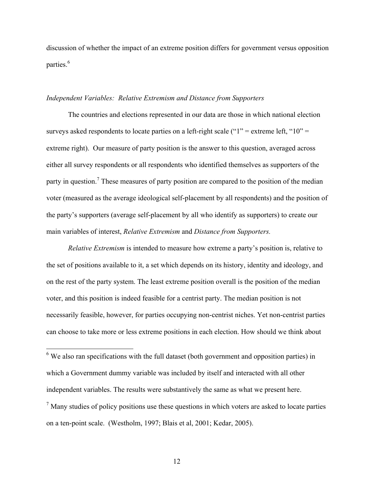discussion of whether the impact of an extreme position differs for government versus opposition parties.<sup>6</sup>

### *Independent Variables: Relative Extremism and Distance from Supporters*

The countries and elections represented in our data are those in which national election surveys asked respondents to locate parties on a left-right scale (" $1"$ " = extreme left, " $10"$  = extreme right). Our measure of party position is the answer to this question, averaged across either all survey respondents or all respondents who identified themselves as supporters of the party in question.<sup>7</sup> These measures of party position are compared to the position of the median voter (measured as the average ideological self-placement by all respondents) and the position of the party's supporters (average self-placement by all who identify as supporters) to create our main variables of interest, *Relative Extremism* and *Distance from Supporters.* 

*Relative Extremism* is intended to measure how extreme a party's position is, relative to the set of positions available to it, a set which depends on its history, identity and ideology, and on the rest of the party system. The least extreme position overall is the position of the median voter, and this position is indeed feasible for a centrist party. The median position is not necessarily feasible, however, for parties occupying non-centrist niches. Yet non-centrist parties can choose to take more or less extreme positions in each election. How should we think about

<sup>6</sup> We also ran specifications with the full dataset (both government and opposition parties) in which a Government dummy variable was included by itself and interacted with all other independent variables. The results were substantively the same as what we present here.  $<sup>7</sup>$  Many studies of policy positions use these questions in which voters are asked to locate parties</sup> on a ten-point scale. (Westholm, 1997; Blais et al, 2001; Kedar, 2005).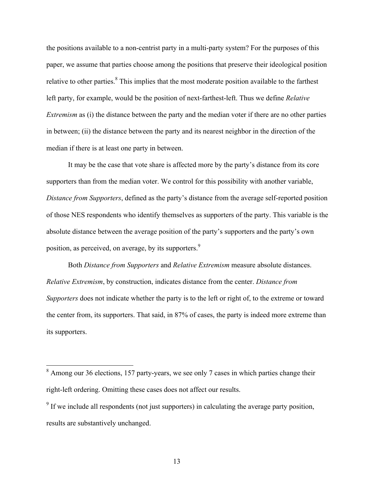the positions available to a non-centrist party in a multi-party system? For the purposes of this paper, we assume that parties choose among the positions that preserve their ideological position relative to other parties.<sup>8</sup> This implies that the most moderate position available to the farthest left party, for example, would be the position of next-farthest-left. Thus we define *Relative Extremism* as (i) the distance between the party and the median voter if there are no other parties in between; (ii) the distance between the party and its nearest neighbor in the direction of the median if there is at least one party in between.

It may be the case that vote share is affected more by the party's distance from its core supporters than from the median voter. We control for this possibility with another variable, *Distance from Supporters*, defined as the party's distance from the average self-reported position of those NES respondents who identify themselves as supporters of the party. This variable is the absolute distance between the average position of the party's supporters and the party's own position, as perceived, on average, by its supporters.<sup>9</sup>

Both *Distance from Supporters* and *Relative Extremism* measure absolute distances. *Relative Extremism*, by construction, indicates distance from the center. *Distance from Supporters* does not indicate whether the party is to the left or right of, to the extreme or toward the center from, its supporters. That said, in 87% of cases, the party is indeed more extreme than its supporters.

<sup>&</sup>lt;sup>8</sup> Among our 36 elections, 157 party-years, we see only 7 cases in which parties change their right-left ordering. Omitting these cases does not affect our results.

<sup>&</sup>lt;sup>9</sup> If we include all respondents (not just supporters) in calculating the average party position, results are substantively unchanged.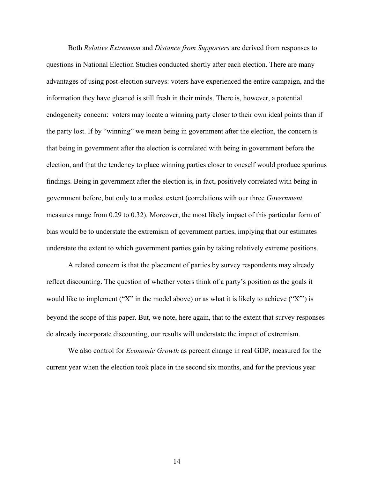Both *Relative Extremism* and *Distance from Supporters* are derived from responses to questions in National Election Studies conducted shortly after each election. There are many advantages of using post-election surveys: voters have experienced the entire campaign, and the information they have gleaned is still fresh in their minds. There is, however, a potential endogeneity concern: voters may locate a winning party closer to their own ideal points than if the party lost. If by "winning" we mean being in government after the election, the concern is that being in government after the election is correlated with being in government before the election, and that the tendency to place winning parties closer to oneself would produce spurious findings. Being in government after the election is, in fact, positively correlated with being in government before, but only to a modest extent (correlations with our three *Government* measures range from 0.29 to 0.32). Moreover, the most likely impact of this particular form of bias would be to understate the extremism of government parties, implying that our estimates understate the extent to which government parties gain by taking relatively extreme positions.

A related concern is that the placement of parties by survey respondents may already reflect discounting. The question of whether voters think of a party's position as the goals it would like to implement ("X" in the model above) or as what it is likely to achieve ("X") is beyond the scope of this paper. But, we note, here again, that to the extent that survey responses do already incorporate discounting, our results will understate the impact of extremism.

We also control for *Economic Growth* as percent change in real GDP, measured for the current year when the election took place in the second six months, and for the previous year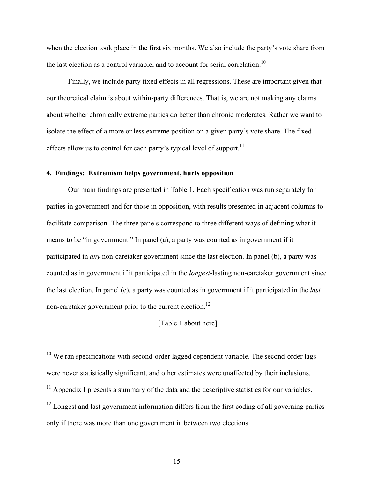when the election took place in the first six months. We also include the party's vote share from the last election as a control variable, and to account for serial correlation.<sup>10</sup>

Finally, we include party fixed effects in all regressions. These are important given that our theoretical claim is about within-party differences. That is, we are not making any claims about whether chronically extreme parties do better than chronic moderates. Rather we want to isolate the effect of a more or less extreme position on a given party's vote share. The fixed effects allow us to control for each party's typical level of support.<sup>11</sup>

## **4. Findings: Extremism helps government, hurts opposition**

Our main findings are presented in Table 1. Each specification was run separately for parties in government and for those in opposition, with results presented in adjacent columns to facilitate comparison. The three panels correspond to three different ways of defining what it means to be "in government." In panel (a), a party was counted as in government if it participated in *any* non-caretaker government since the last election. In panel (b), a party was counted as in government if it participated in the *longest*-lasting non-caretaker government since the last election. In panel (c), a party was counted as in government if it participated in the *last* non-caretaker government prior to the current election.<sup>12</sup>

## [Table 1 about here]

<sup>&</sup>lt;sup>10</sup> We ran specifications with second-order lagged dependent variable. The second-order lags were never statistically significant, and other estimates were unaffected by their inclusions.

 $11$  Appendix I presents a summary of the data and the descriptive statistics for our variables.

 $12$  Longest and last government information differs from the first coding of all governing parties only if there was more than one government in between two elections.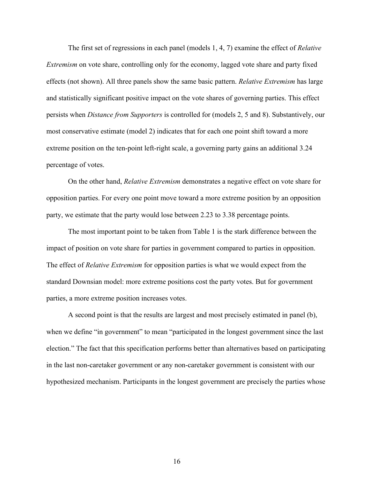The first set of regressions in each panel (models 1, 4, 7) examine the effect of *Relative Extremism* on vote share, controlling only for the economy, lagged vote share and party fixed effects (not shown). All three panels show the same basic pattern. *Relative Extremism* has large and statistically significant positive impact on the vote shares of governing parties. This effect persists when *Distance from Supporters* is controlled for (models 2, 5 and 8). Substantively, our most conservative estimate (model 2) indicates that for each one point shift toward a more extreme position on the ten-point left-right scale, a governing party gains an additional 3.24 percentage of votes.

On the other hand, *Relative Extremism* demonstrates a negative effect on vote share for opposition parties. For every one point move toward a more extreme position by an opposition party, we estimate that the party would lose between 2.23 to 3.38 percentage points.

The most important point to be taken from Table 1 is the stark difference between the impact of position on vote share for parties in government compared to parties in opposition. The effect of *Relative Extremism* for opposition parties is what we would expect from the standard Downsian model: more extreme positions cost the party votes. But for government parties, a more extreme position increases votes.

A second point is that the results are largest and most precisely estimated in panel (b), when we define "in government" to mean "participated in the longest government since the last election." The fact that this specification performs better than alternatives based on participating in the last non-caretaker government or any non-caretaker government is consistent with our hypothesized mechanism. Participants in the longest government are precisely the parties whose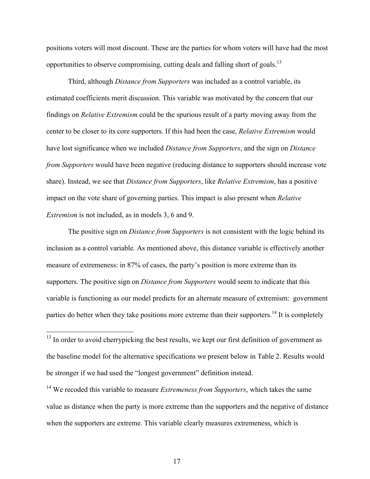positions voters will most discount. These are the parties for whom voters will have had the most opportunities to observe compromising, cutting deals and falling short of goals.13

Third, although *Distance from Supporters* was included as a control variable, its estimated coefficients merit discussion. This variable was motivated by the concern that our findings on *Relative Extremism* could be the spurious result of a party moving away from the center to be closer to its core supporters. If this had been the case, *Relative Extremism* would have lost significance when we included *Distance from Supporters*, and the sign on *Distance from Supporters* would have been negative (reducing distance to supporters should increase vote share). Instead, we see that *Distance from Supporters*, like *Relative Extremism*, has a positive impact on the vote share of governing parties. This impact is also present when *Relative Extremism* is not included, as in models 3, 6 and 9.

The positive sign on *Distance from Supporters* is not consistent with the logic behind its inclusion as a control variable. As mentioned above, this distance variable is effectively another measure of extremeness: in 87% of cases, the party's position is more extreme than its supporters. The positive sign on *Distance from Supporters* would seem to indicate that this variable is functioning as our model predicts for an alternate measure of extremism: government parties do better when they take positions more extreme than their supporters.<sup>14</sup> It is completely

 $13$  In order to avoid cherrypicking the best results, we kept our first definition of government as the baseline model for the alternative specifications we present below in Table 2. Results would be stronger if we had used the "longest government" definition instead.

<sup>14</sup> We recoded this variable to measure *Extremeness from Supporters*, which takes the same value as distance when the party is more extreme than the supporters and the negative of distance when the supporters are extreme. This variable clearly measures extremeness, which is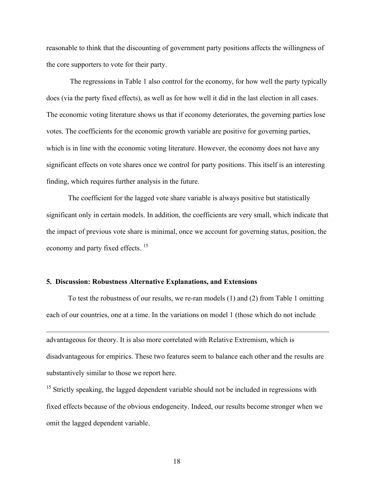reasonable to think that the discounting of government party positions affects the willingness of the core supporters to vote for their party.

 The regressions in Table 1 also control for the economy, for how well the party typically does (via the party fixed effects), as well as for how well it did in the last election in all cases. The economic voting literature shows us that if economy deteriorates, the governing parties lose votes. The coefficients for the economic growth variable are positive for governing parties, which is in line with the economic voting literature. However, the economy does not have any significant effects on vote shares once we control for party positions. This itself is an interesting finding, which requires further analysis in the future.

The coefficient for the lagged vote share variable is always positive but statistically significant only in certain models. In addition, the coefficients are very small, which indicate that the impact of previous vote share is minimal, once we account for governing status, position, the economy and party fixed effects.<sup>15</sup>

## **5. Discussion: Robustness Alternative Explanations, and Extensions**

 $\overline{a}$ 

To test the robustness of our results, we re-ran models (1) and (2) from Table 1 omitting each of our countries, one at a time. In the variations on model 1 (those which do not include

advantageous for theory. It is also more correlated with Relative Extremism, which is disadvantageous for empirics. These two features seem to balance each other and the results are substantively similar to those we report here.

 $15$  Strictly speaking, the lagged dependent variable should not be included in regressions with fixed effects because of the obvious endogeneity. Indeed, our results become stronger when we omit the lagged dependent variable.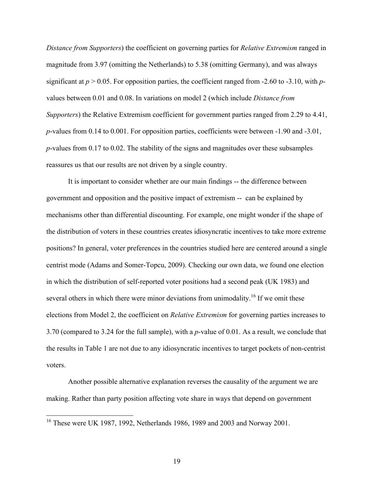*Distance from Supporters*) the coefficient on governing parties for *Relative Extremism* ranged in magnitude from 3.97 (omitting the Netherlands) to 5.38 (omitting Germany), and was always significant at  $p > 0.05$ . For opposition parties, the coefficient ranged from -2.60 to -3.10, with  $p$ values between 0.01 and 0.08. In variations on model 2 (which include *Distance from Supporters*) the Relative Extremism coefficient for government parties ranged from 2.29 to 4.41, *p*-values from 0.14 to 0.001. For opposition parties, coefficients were between -1.90 and -3.01, *p*-values from 0.17 to 0.02. The stability of the signs and magnitudes over these subsamples reassures us that our results are not driven by a single country.

It is important to consider whether are our main findings -- the difference between government and opposition and the positive impact of extremism -- can be explained by mechanisms other than differential discounting. For example, one might wonder if the shape of the distribution of voters in these countries creates idiosyncratic incentives to take more extreme positions? In general, voter preferences in the countries studied here are centered around a single centrist mode (Adams and Somer-Topcu, 2009). Checking our own data, we found one election in which the distribution of self-reported voter positions had a second peak (UK 1983) and several others in which there were minor deviations from unimodality.<sup>16</sup> If we omit these elections from Model 2, the coefficient on *Relative Extremism* for governing parties increases to 3.70 (compared to 3.24 for the full sample), with a *p*-value of 0.01. As a result, we conclude that the results in Table 1 are not due to any idiosyncratic incentives to target pockets of non-centrist voters.

Another possible alternative explanation reverses the causality of the argument we are making. Rather than party position affecting vote share in ways that depend on government

 <sup>16</sup> These were UK 1987, 1992, Netherlands 1986, 1989 and 2003 and Norway 2001.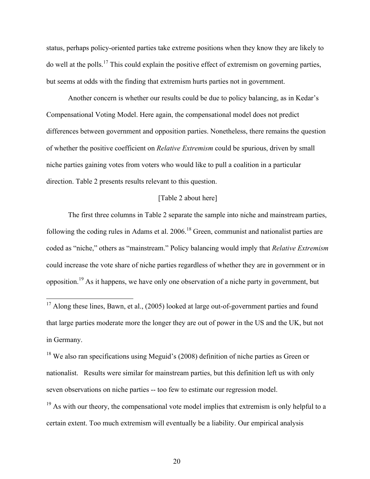status, perhaps policy-oriented parties take extreme positions when they know they are likely to do well at the polls.17 This could explain the positive effect of extremism on governing parties, but seems at odds with the finding that extremism hurts parties not in government.

Another concern is whether our results could be due to policy balancing, as in Kedar's Compensational Voting Model. Here again, the compensational model does not predict differences between government and opposition parties. Nonetheless, there remains the question of whether the positive coefficient on *Relative Extremism* could be spurious, driven by small niche parties gaining votes from voters who would like to pull a coalition in a particular direction. Table 2 presents results relevant to this question.

## [Table 2 about here]

The first three columns in Table 2 separate the sample into niche and mainstream parties, following the coding rules in Adams et al. 2006.<sup>18</sup> Green, communist and nationalist parties are coded as "niche," others as "mainstream." Policy balancing would imply that *Relative Extremism* could increase the vote share of niche parties regardless of whether they are in government or in opposition.<sup>19</sup> As it happens, we have only one observation of a niche party in government, but

<sup>&</sup>lt;sup>17</sup> Along these lines, Bawn, et al., (2005) looked at large out-of-government parties and found that large parties moderate more the longer they are out of power in the US and the UK, but not in Germany.

 $18$  We also ran specifications using Meguid's (2008) definition of niche parties as Green or nationalist. Results were similar for mainstream parties, but this definition left us with only seven observations on niche parties -- too few to estimate our regression model.

 $19$  As with our theory, the compensational vote model implies that extremism is only helpful to a certain extent. Too much extremism will eventually be a liability. Our empirical analysis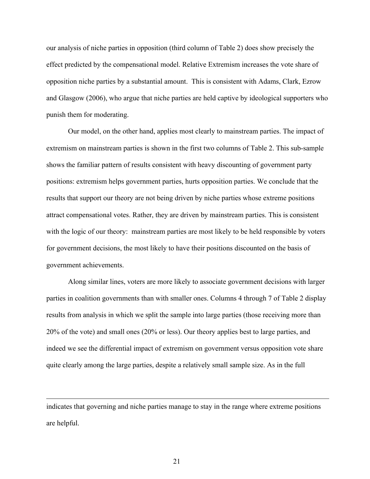our analysis of niche parties in opposition (third column of Table 2) does show precisely the effect predicted by the compensational model. Relative Extremism increases the vote share of opposition niche parties by a substantial amount. This is consistent with Adams, Clark, Ezrow and Glasgow (2006), who argue that niche parties are held captive by ideological supporters who punish them for moderating.

Our model, on the other hand, applies most clearly to mainstream parties. The impact of extremism on mainstream parties is shown in the first two columns of Table 2. This sub-sample shows the familiar pattern of results consistent with heavy discounting of government party positions: extremism helps government parties, hurts opposition parties. We conclude that the results that support our theory are not being driven by niche parties whose extreme positions attract compensational votes. Rather, they are driven by mainstream parties. This is consistent with the logic of our theory: mainstream parties are most likely to be held responsible by voters for government decisions, the most likely to have their positions discounted on the basis of government achievements.

Along similar lines, voters are more likely to associate government decisions with larger parties in coalition governments than with smaller ones. Columns 4 through 7 of Table 2 display results from analysis in which we split the sample into large parties (those receiving more than 20% of the vote) and small ones (20% or less). Our theory applies best to large parties, and indeed we see the differential impact of extremism on government versus opposition vote share quite clearly among the large parties, despite a relatively small sample size. As in the full

indicates that governing and niche parties manage to stay in the range where extreme positions are helpful.

 $\overline{a}$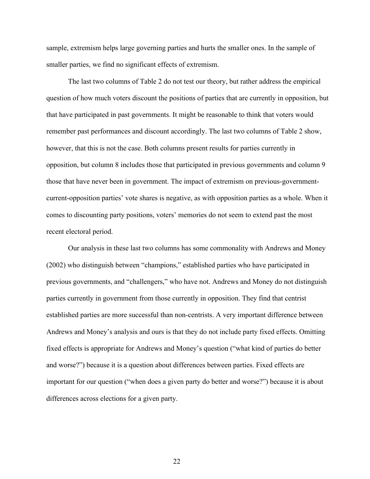sample, extremism helps large governing parties and hurts the smaller ones. In the sample of smaller parties, we find no significant effects of extremism.

The last two columns of Table 2 do not test our theory, but rather address the empirical question of how much voters discount the positions of parties that are currently in opposition, but that have participated in past governments. It might be reasonable to think that voters would remember past performances and discount accordingly. The last two columns of Table 2 show, however, that this is not the case. Both columns present results for parties currently in opposition, but column 8 includes those that participated in previous governments and column 9 those that have never been in government. The impact of extremism on previous-governmentcurrent-opposition parties' vote shares is negative, as with opposition parties as a whole. When it comes to discounting party positions, voters' memories do not seem to extend past the most recent electoral period.

Our analysis in these last two columns has some commonality with Andrews and Money (2002) who distinguish between "champions," established parties who have participated in previous governments, and "challengers," who have not. Andrews and Money do not distinguish parties currently in government from those currently in opposition. They find that centrist established parties are more successful than non-centrists. A very important difference between Andrews and Money's analysis and ours is that they do not include party fixed effects. Omitting fixed effects is appropriate for Andrews and Money's question ("what kind of parties do better and worse?") because it is a question about differences between parties. Fixed effects are important for our question ("when does a given party do better and worse?") because it is about differences across elections for a given party.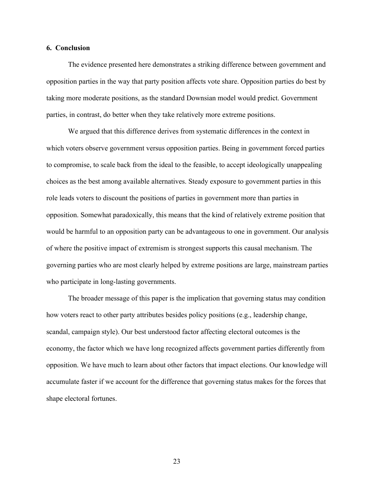#### **6. Conclusion**

The evidence presented here demonstrates a striking difference between government and opposition parties in the way that party position affects vote share. Opposition parties do best by taking more moderate positions, as the standard Downsian model would predict. Government parties, in contrast, do better when they take relatively more extreme positions.

We argued that this difference derives from systematic differences in the context in which voters observe government versus opposition parties. Being in government forced parties to compromise, to scale back from the ideal to the feasible, to accept ideologically unappealing choices as the best among available alternatives. Steady exposure to government parties in this role leads voters to discount the positions of parties in government more than parties in opposition. Somewhat paradoxically, this means that the kind of relatively extreme position that would be harmful to an opposition party can be advantageous to one in government. Our analysis of where the positive impact of extremism is strongest supports this causal mechanism. The governing parties who are most clearly helped by extreme positions are large, mainstream parties who participate in long-lasting governments.

The broader message of this paper is the implication that governing status may condition how voters react to other party attributes besides policy positions (e.g., leadership change, scandal, campaign style). Our best understood factor affecting electoral outcomes is the economy, the factor which we have long recognized affects government parties differently from opposition. We have much to learn about other factors that impact elections. Our knowledge will accumulate faster if we account for the difference that governing status makes for the forces that shape electoral fortunes.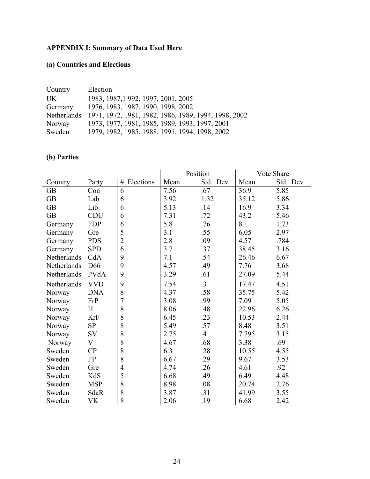# **APPENDIX I: Summary of Data Used Here**

## **(a) Countries and Elections**

| Country     | Election                                             |
|-------------|------------------------------------------------------|
| UK.         | 1983, 1987, 1992, 1997, 2001, 2005                   |
| Germany     | 1976, 1983, 1987, 1990, 1998, 2002                   |
| Netherlands | 1971, 1972, 1981, 1982, 1986, 1989, 1994, 1998, 2002 |
| Norway      | 1973, 1977, 1981, 1985, 1989, 1993, 1997, 2001       |
| Sweden      | 1979, 1982, 1985, 1988, 1991, 1994, 1998, 2002       |

## **(b) Parties**

|             |                 |                | Position |           | Vote Share |          |
|-------------|-----------------|----------------|----------|-----------|------------|----------|
| Country     | Party           | Elections<br># | Mean     | Std. Dev  | Mean       | Std. Dev |
| <b>GB</b>   | Con             | 6              | 7.56     | .67       | 36.9       | 5.85     |
| <b>GB</b>   | Lab             | 6              | 3.92     | 1.32      | 35.12      | 5.86     |
| <b>GB</b>   | Lib             | 6              | 5.13     | .14       | 16.9       | 3.34     |
| <b>GB</b>   | <b>CDU</b>      | 6              | 7.31     | .72       | 43.2       | 5.46     |
| Germany     | <b>FDP</b>      | 6              | 5.8      | .76       | 8.1        | 1.73     |
| Germany     | Gre             | 5              | 3.1      | .55       | 6.05       | 2.97     |
| Germany     | <b>PDS</b>      | $\overline{2}$ | 2.8      | .09       | 4.57       | .784     |
| Germany     | <b>SPD</b>      | 6              | 3.7      | .37       | 38.45      | 3.16     |
| Netherlands | CdA             | 9              | 7.1      | .54       | 26.46      | 6.67     |
| Netherlands | D <sub>66</sub> | 9              | 4.57     | .49       | 7.76       | 3.68     |
| Netherlands | PVdA            | 9              | 3.29     | .61       | 27.09      | 5.44     |
| Netherlands | <b>VVD</b>      | 9              | 7.54     | $\cdot$ 3 | 17.47      | 4.51     |
| Norway      | <b>DNA</b>      | 8              | 4.37     | .58       | 35.75      | 5.42     |
| Norway      | FrP             | $\overline{7}$ | 3.08     | .99       | 7.09       | 5.05     |
| Norway      | H               | 8              | 8.06     | .48       | 22.96      | 6.26     |
| Norway      | KrF             | 8              | 6.45     | .23       | 10.53      | 2.44     |
| Norway      | SP              | 8              | 5.49     | .57       | 8.48       | 3.51     |
| Norway      | SV              | 8              | 2.75     | $.4\,$    | 7.795      | 3.15     |
| Norway      | V               | 8              | 4.67     | .68       | 3.38       | .69      |
| Sweden      | CP              | 8              | 6.3      | .28       | 10.55      | 4.55     |
| Sweden      | FP              | 8              | 6.67     | .29       | 9.67       | 3.53     |
| Sweden      | Gre             | $\overline{4}$ | 4.74     | .26       | 4.61       | .92      |
| Sweden      | KdS             | 5              | 6.68     | .49       | 6.49       | 4.48     |
| Sweden      | <b>MSP</b>      | 8              | 8.98     | .08       | 20.74      | 2.76     |
| Sweden      | SdaR            | 8              | 3.87     | .31       | 41.99      | 3.55     |
| Sweden      | VK              | 8              | 2.06     | .19       | 6.68       | 2.42     |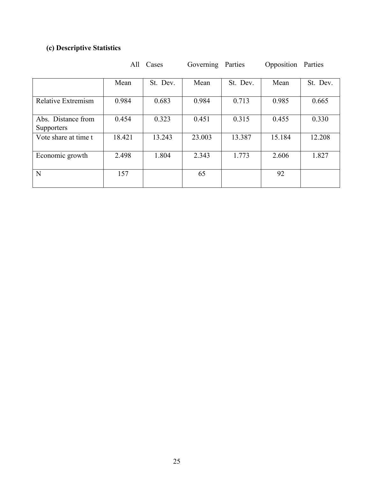# **(c) Descriptive Statistics**

|                                         | All    | Cases<br>Parties<br>Governing |        | Opposition Parties |        |          |
|-----------------------------------------|--------|-------------------------------|--------|--------------------|--------|----------|
|                                         | Mean   | St. Dev.                      | Mean   | St. Dev.           | Mean   | St. Dev. |
| Relative Extremism                      | 0.984  | 0.683                         | 0.984  | 0.713              | 0.985  | 0.665    |
| Abs. Distance from<br><b>Supporters</b> | 0.454  | 0.323                         | 0.451  | 0.315              | 0.455  | 0.330    |
| Vote share at time t                    | 18.421 | 13.243                        | 23.003 | 13.387             | 15.184 | 12.208   |
| Economic growth                         | 2.498  | 1.804                         | 2.343  | 1.773              | 2.606  | 1.827    |
| N                                       | 157    |                               | 65     |                    | 92     |          |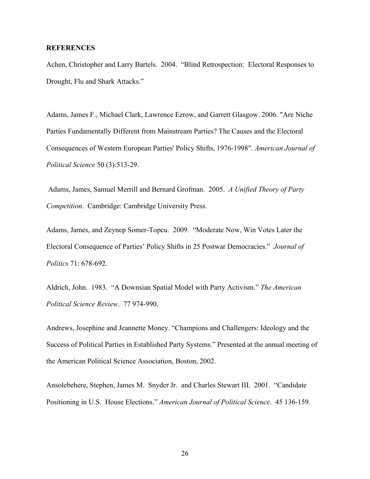## **REFERENCES**

Achen, Christopher and Larry Bartels. 2004. "Blind Retrospection: Electoral Responses to Drought, Flu and Shark Attacks."

Adams, James F., Michael Clark, Lawrence Ezrow, and Garrett Glasgow. 2006. "Are Niche Parties Fundamentally Different from Mainstream Parties? The Causes and the Electoral Consequences of Western European Parties' Policy Shifts, 1976-1998". *American Journal of Political Science* 50 (3):513-29.

 Adams, James, Samuel Merrill and Bernard Grofman. 2005. *A Unified Theory of Party Competition*. Cambridge: Cambridge University Press.

Adams, James, and Zeynep Somer-Topcu. 2009. "Moderate Now, Win Votes Later the Electoral Consequence of Parties' Policy Shifts in 25 Postwar Democracies." *Journal of Politics* 71: 678-692.

Aldrich, John. 1983. "A Downsian Spatial Model with Party Activism." *The American Political Science Review*. 77 974-990.

Andrews, Josephine and Jeannette Money. "Champions and Challengers: Ideology and the Success of Political Parties in Established Party Systems." Presented at the annual meeting of the American Political Science Association, Boston, 2002.

Ansolebehere, Stephen, James M. Snyder Jr. and Charles Stewart III. 2001. "Candidate Positioning in U.S. House Elections." *American Journal of Political Science*. 45 136-159.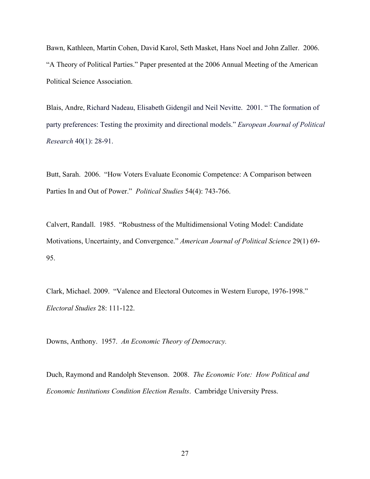Bawn, Kathleen, Martin Cohen, David Karol, Seth Masket, Hans Noel and John Zaller. 2006. "A Theory of Political Parties." Paper presented at the 2006 Annual Meeting of the American Political Science Association.

Blais, Andre, Richard Nadeau, Elisabeth Gidengil and Neil Nevitte. 2001. " The formation of party preferences: Testing the proximity and directional models." *European Journal of Political Research* 40(1): 28-91.

Butt, Sarah. 2006. "How Voters Evaluate Economic Competence: A Comparison between Parties In and Out of Power." *Political Studies* 54(4): 743-766.

Calvert, Randall. 1985. "Robustness of the Multidimensional Voting Model: Candidate Motivations, Uncertainty, and Convergence." *American Journal of Political Science* 29(1) 69- 95.

Clark, Michael. 2009. "Valence and Electoral Outcomes in Western Europe, 1976-1998." *Electoral Studies* 28: 111-122.

Downs, Anthony. 1957. *An Economic Theory of Democracy.*

Duch, Raymond and Randolph Stevenson. 2008. *The Economic Vote: How Political and Economic Institutions Condition Election Results*. Cambridge University Press.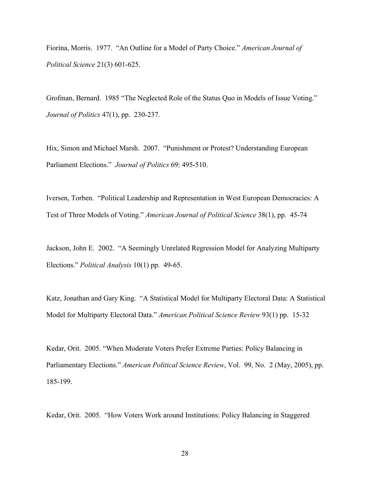Fiorina, Morris. 1977. "An Outline for a Model of Party Choice." *American Journal of Political Science* 21(3) 601-625.

Grofman, Bernard. 1985 "The Neglected Role of the Status Quo in Models of Issue Voting." *Journal of Politics* 47(1), pp. 230-237.

Hix, Simon and Michael Marsh. 2007. "Punishment or Protest? Understanding European Parliament Elections." *Journal of Politics* 69: 495-510.

Iversen, Torben. "Political Leadership and Representation in West European Democracies: A Test of Three Models of Voting." *American Journal of Political Science* 38(1), pp. 45-74

Jackson, John E. 2002. "A Seemingly Unrelated Regression Model for Analyzing Multiparty Elections." *Political Analysis* 10(1) pp. 49-65.

Katz, Jonathan and Gary King. "A Statistical Model for Multiparty Electoral Data: A Statistical Model for Multiparty Electoral Data." *American Political Science Review* 93(1) pp. 15-32

Kedar, Orit. 2005. "When Moderate Voters Prefer Extreme Parties: Policy Balancing in Parliamentary Elections." *American Political Science Review*, Vol. 99, No. 2 (May, 2005), pp. 185-199.

Kedar, Orit. 2005. "How Voters Work around Institutions: Policy Balancing in Staggered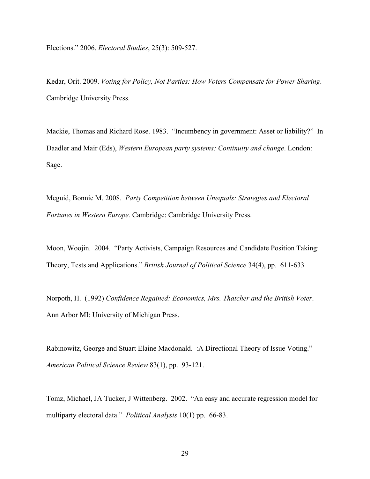Elections." 2006. *Electoral Studies*, 25(3): 509-527.

Kedar, Orit. 2009. *Voting for Policy, Not Parties: How Voters Compensate for Power Sharing*. Cambridge University Press.

Mackie, Thomas and Richard Rose. 1983. "Incumbency in government: Asset or liability?" In Daadler and Mair (Eds), *Western European party systems: Continuity and change*. London: Sage.

Meguid, Bonnie M. 2008. *Party Competition between Unequals: Strategies and Electoral Fortunes in Western Europe.* Cambridge: Cambridge University Press.

Moon, Woojin. 2004. "Party Activists, Campaign Resources and Candidate Position Taking: Theory, Tests and Applications." *British Journal of Political Science* 34(4), pp. 611-633

Norpoth, H. (1992) *Confidence Regained: Economics, Mrs. Thatcher and the British Voter*. Ann Arbor MI: University of Michigan Press.

Rabinowitz, George and Stuart Elaine Macdonald. :A Directional Theory of Issue Voting." *American Political Science Review* 83(1), pp. 93-121.

Tomz, Michael, JA Tucker, J Wittenberg. 2002. "An easy and accurate regression model for multiparty electoral data." *Political Analysis* 10(1) pp. 66-83.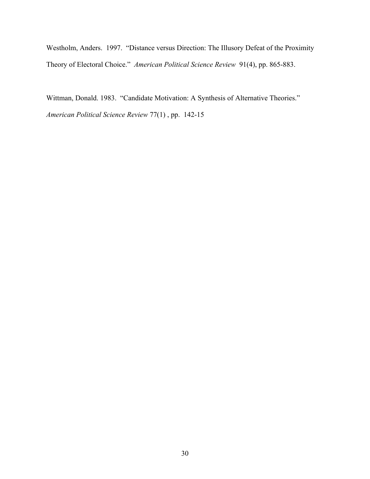Westholm, Anders. 1997. "Distance versus Direction: The Illusory Defeat of the Proximity Theory of Electoral Choice." *American Political Science Review* 91(4), pp. 865-883.

Wittman, Donald. 1983. "Candidate Motivation: A Synthesis of Alternative Theories." *American Political Science Review* 77(1) , pp. 142-15